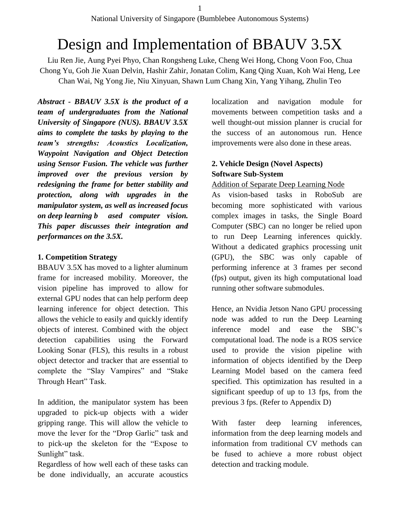# Design and Implementation of BBAUV 3.5X

Liu Ren Jie, Aung Pyei Phyo, Chan Rongsheng Luke, Cheng Wei Hong, Chong Voon Foo, Chua Chong Yu, Goh Jie Xuan Delvin, Hashir Zahir, Jonatan Colim, Kang Qing Xuan, Koh Wai Heng, Lee Chan Wai, Ng Yong Jie, Niu Xinyuan, Shawn Lum Chang Xin, Yang Yihang, Zhulin Teo

*Abstract - BBAUV 3.5X is the product of a team of undergraduates from the National University of Singapore (NUS). BBAUV 3.5X aims to complete the tasks by playing to the team's strengths: Acoustics Localization, Waypoint Navigation and Object Detection using Sensor Fusion. The vehicle was further improved over the previous version by redesigning the frame for better stability and protection, along with upgrades in the manipulator system, as well as increased focus on deep learning b ased computer vision. This paper discusses their integration and performances on the 3.5X.*

#### **1. Competition Strategy**

BBAUV 3.5X has moved to a lighter aluminum frame for increased mobility. Moreover, the vision pipeline has improved to allow for external GPU nodes that can help perform deep learning inference for object detection. This allows the vehicle to easily and quickly identify objects of interest. Combined with the object detection capabilities using the Forward Looking Sonar (FLS), this results in a robust object detector and tracker that are essential to complete the "Slay Vampires" and "Stake Through Heart" Task.

In addition, the manipulator system has been upgraded to pick-up objects with a wider gripping range. This will allow the vehicle to move the lever for the "Drop Garlic" task and to pick-up the skeleton for the "Expose to Sunlight" task.

Regardless of how well each of these tasks can be done individually, an accurate acoustics localization and navigation module for movements between competition tasks and a well thought-out mission planner is crucial for the success of an autonomous run. Hence improvements were also done in these areas.

### **2. Vehicle Design (Novel Aspects) Software Sub-System**

#### Addition of Separate Deep Learning Node

As vision-based tasks in RoboSub are becoming more sophisticated with various complex images in tasks, the Single Board Computer (SBC) can no longer be relied upon to run Deep Learning inferences quickly. Without a dedicated graphics processing unit (GPU), the SBC was only capable of performing inference at 3 frames per second (fps) output, given its high computational load running other software submodules.

Hence, an Nvidia Jetson Nano GPU processing node was added to run the Deep Learning inference model and ease the SBC's computational load. The node is a ROS service used to provide the vision pipeline with information of objects identified by the Deep Learning Model based on the camera feed specified. This optimization has resulted in a significant speedup of up to 13 fps, from the previous 3 fps. (Refer to Appendix D)

With faster deep learning inferences, information from the deep learning models and information from traditional CV methods can be fused to achieve a more robust object detection and tracking module.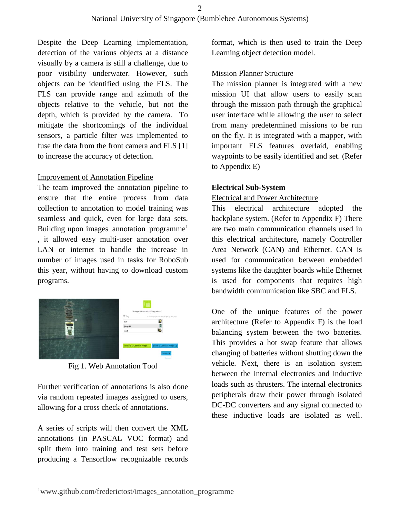Despite the Deep Learning implementation, detection of the various objects at a distance visually by a camera is still a challenge, due to poor visibility underwater. However, such objects can be identified using the FLS. The FLS can provide range and azimuth of the objects relative to the vehicle, but not the depth, which is provided by the camera. To mitigate the shortcomings of the individual sensors, a particle filter was implemented to fuse the data from the front camera and FLS [1] to increase the accuracy of detection.

#### Improvement of Annotation Pipeline

The team improved the annotation pipeline to ensure that the entire process from data collection to annotation to model training was seamless and quick, even for large data sets. Building upon images\_annotation\_programme<sup>1</sup> , it allowed easy multi-user annotation over LAN or internet to handle the increase in number of images used in tasks for RoboSub this year, without having to download custom programs.



Fig 1. Web Annotation Tool

Further verification of annotations is also done via random repeated images assigned to users, allowing for a cross check of annotations.

A series of scripts will then convert the XML annotations (in PASCAL VOC format) and split them into training and test sets before producing a Tensorflow recognizable records

format, which is then used to train the Deep Learning object detection model.

#### Mission Planner Structure

The mission planner is integrated with a new mission UI that allow users to easily scan through the mission path through the graphical user interface while allowing the user to select from many predetermined missions to be run on the fly. It is integrated with a mapper, with important FLS features overlaid, enabling waypoints to be easily identified and set. (Refer to Appendix E)

#### **Electrical Sub-System**

#### Electrical and Power Architecture

This electrical architecture adopted the backplane system. (Refer to Appendix F) There are two main communication channels used in this electrical architecture, namely Controller Area Network (CAN) and Ethernet. CAN is used for communication between embedded systems like the daughter boards while Ethernet is used for components that requires high bandwidth communication like SBC and FLS.

One of the unique features of the power architecture (Refer to Appendix F) is the load balancing system between the two batteries. This provides a hot swap feature that allows changing of batteries without shutting down the vehicle. Next, there is an isolation system between the internal electronics and inductive loads such as thrusters. The internal electronics peripherals draw their power through isolated DC-DC converters and any signal connected to these inductive loads are isolated as well.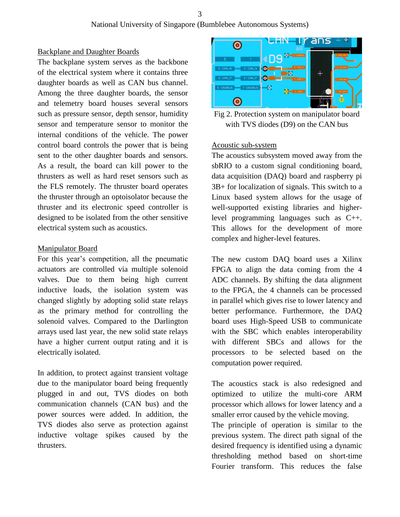#### Backplane and Daughter Boards

The backplane system serves as the backbone of the electrical system where it contains three daughter boards as well as CAN bus channel. Among the three daughter boards, the sensor and telemetry board houses several sensors such as pressure sensor, depth sensor, humidity sensor and temperature sensor to monitor the internal conditions of the vehicle. The power control board controls the power that is being sent to the other daughter boards and sensors. As a result, the board can kill power to the thrusters as well as hard reset sensors such as the FLS remotely. The thruster board operates the thruster through an optoisolator because the thruster and its electronic speed controller is designed to be isolated from the other sensitive electrical system such as acoustics.

#### Manipulator Board

For this year's competition, all the pneumatic actuators are controlled via multiple solenoid valves. Due to them being high current inductive loads, the isolation system was changed slightly by adopting solid state relays as the primary method for controlling the solenoid valves. Compared to the Darlington arrays used last year, the new solid state relays have a higher current output rating and it is electrically isolated.

In addition, to protect against transient voltage due to the manipulator board being frequently plugged in and out, TVS diodes on both communication channels (CAN bus) and the power sources were added. In addition, the TVS diodes also serve as protection against inductive voltage spikes caused by the thrusters.



Fig 2. Protection system on manipulator board with TVS diodes (D9) on the CAN bus

#### Acoustic sub-system

The acoustics subsystem moved away from the sbRIO to a custom signal conditioning board, data acquisition (DAQ) board and raspberry pi 3B+ for localization of signals. This switch to a Linux based system allows for the usage of well-supported existing libraries and higherlevel programming languages such as C++. This allows for the development of more complex and higher-level features.

The new custom DAQ board uses a Xilinx FPGA to align the data coming from the 4 ADC channels. By shifting the data alignment to the FPGA, the 4 channels can be processed in parallel which gives rise to lower latency and better performance. Furthermore, the DAQ board uses High-Speed USB to communicate with the SBC which enables interoperability with different SBCs and allows for the processors to be selected based on the computation power required.

The acoustics stack is also redesigned and optimized to utilize the multi-core ARM processor which allows for lower latency and a smaller error caused by the vehicle moving.

The principle of operation is similar to the previous system. The direct path signal of the desired frequency is identified using a dynamic thresholding method based on short-time Fourier transform. This reduces the false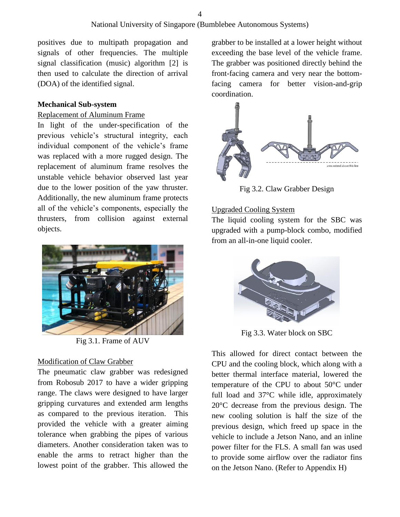positives due to multipath propagation and signals of other frequencies. The multiple signal classification (music) algorithm [2] is then used to calculate the direction of arrival (DOA) of the identified signal.

#### **Mechanical Sub-system**

#### Replacement of Aluminum Frame

In light of the under-specification of the previous vehicle's structural integrity, each individual component of the vehicle's frame was replaced with a more rugged design. The replacement of aluminum frame resolves the unstable vehicle behavior observed last year due to the lower position of the yaw thruster. Additionally, the new aluminum frame protects all of the vehicle's components, especially the thrusters, from collision against external objects.



Fig 3.1. Frame of AUV

#### Modification of Claw Grabber

The pneumatic claw grabber was redesigned from Robosub 2017 to have a wider gripping range. The claws were designed to have larger gripping curvatures and extended arm lengths as compared to the previous iteration. This provided the vehicle with a greater aiming tolerance when grabbing the pipes of various diameters. Another consideration taken was to enable the arms to retract higher than the lowest point of the grabber. This allowed the

grabber to be installed at a lower height without exceeding the base level of the vehicle frame. The grabber was positioned directly behind the front-facing camera and very near the bottomfacing camera for better vision-and-grip coordination.



Fig 3.2. Claw Grabber Design

#### Upgraded Cooling System

The liquid cooling system for the SBC was upgraded with a pump-block combo, modified from an all-in-one liquid cooler.



Fig 3.3. Water block on SBC

This allowed for direct contact between the CPU and the cooling block, which along with a better thermal interface material, lowered the temperature of the CPU to about 50°C under full load and 37°C while idle, approximately 20°C decrease from the previous design. The new cooling solution is half the size of the previous design, which freed up space in the vehicle to include a Jetson Nano, and an inline power filter for the FLS. A small fan was used to provide some airflow over the radiator fins on the Jetson Nano. (Refer to Appendix H)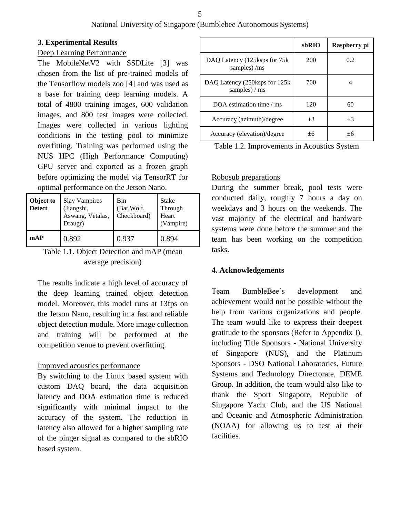#### **3. Experimental Results**

#### Deep Learning Performance

The MobileNetV2 with SSDLite [3] was chosen from the list of pre-trained models of the Tensorflow models zoo [4] and was used as a base for training deep learning models. A total of 4800 training images, 600 validation images, and 800 test images were collected. Images were collected in various lighting conditions in the testing pool to minimize overfitting. Training was performed using the NUS HPC (High Performance Computing) GPU server and exported as a frozen graph before optimizing the model via TensorRT for optimal performance on the Jetson Nano.

| Object to<br><b>Detect</b> | <b>Slay Vampires</b><br>(Jiangshi,<br>Aswang, Vetalas,<br>Draugr) | Bin<br>(Bat, Wolf,<br>Checkboard) | <b>Stake</b><br>Through<br>Heart<br>(Vampire) |
|----------------------------|-------------------------------------------------------------------|-----------------------------------|-----------------------------------------------|
| mAP                        | 0.892                                                             | 0.937                             | 0.894                                         |

Table 1.1. Object Detection and mAP (mean average precision)

The results indicate a high level of accuracy of the deep learning trained object detection model. Moreover, this model runs at 13fps on the Jetson Nano, resulting in a fast and reliable object detection module. More image collection and training will be performed at the competition venue to prevent overfitting.

#### Improved acoustics performance

By switching to the Linux based system with custom DAQ board, the data acquisition latency and DOA estimation time is reduced significantly with minimal impact to the accuracy of the system. The reduction in latency also allowed for a higher sampling rate of the pinger signal as compared to the sbRIO based system.

|                                                 | sbRIO | Raspberry pi |
|-------------------------------------------------|-------|--------------|
| DAQ Latency (125ksps for 75k)<br>samples) /ms   | 200   | 0.2          |
| DAQ Latency (250ksps for 125k)<br>samples) / ms | 700   |              |
| DOA estimation time $/ms$                       | 120   | 60           |
| Accuracy (azimuth)/degree                       | $+3$  | $+3$         |
| Accuracy (elevation)/degree                     | $+6$  | +6           |

| Table 1.2. Improvements in Acoustics System |  |  |
|---------------------------------------------|--|--|
|---------------------------------------------|--|--|

#### Robosub preparations

During the summer break, pool tests were conducted daily, roughly 7 hours a day on weekdays and 3 hours on the weekends. The vast majority of the electrical and hardware systems were done before the summer and the team has been working on the competition tasks.

#### **4. Acknowledgements**

Team BumbleBee's development and achievement would not be possible without the help from various organizations and people. The team would like to express their deepest gratitude to the sponsors (Refer to Appendix I), including Title Sponsors - National University of Singapore (NUS), and the Platinum Sponsors - DSO National Laboratories, Future Systems and Technology Directorate, DEME Group. In addition, the team would also like to thank the Sport Singapore, Republic of Singapore Yacht Club, and the US National and Oceanic and Atmospheric Administration (NOAA) for allowing us to test at their facilities.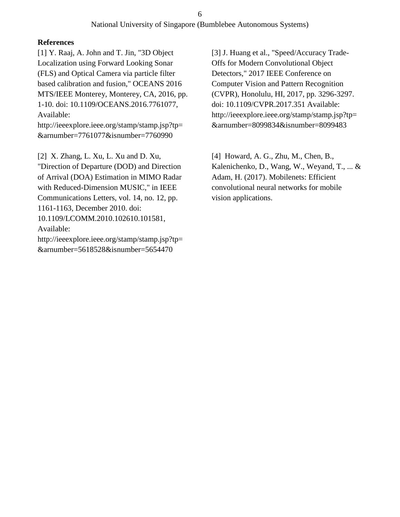#### **References**

[1] Y. Raaj, A. John and T. Jin, "3D Object Localization using Forward Looking Sonar (FLS) and Optical Camera via particle filter based calibration and fusion," OCEANS 2016 MTS/IEEE Monterey, Monterey, CA, 2016, pp. 1-10. doi: 10.1109/OCEANS.2016.7761077, Available:

http://ieeexplore.ieee.org/stamp/stamp.jsp?tp= &arnumber=7761077&isnumber=7760990

[2] X. Zhang, L. Xu, L. Xu and D. Xu, "Direction of Departure (DOD) and Direction of Arrival (DOA) Estimation in MIMO Radar with Reduced-Dimension MUSIC," in IEEE Communications Letters, vol. 14, no. 12, pp. 1161-1163, December 2010. doi: 10.1109/LCOMM.2010.102610.101581, Available: http://ieeexplore.ieee.org/stamp/stamp.jsp?tp=

&arnumber=5618528&isnumber=5654470

Detectors," 2017 IEEE Conference on Computer Vision and Pattern Recognition (CVPR), Honolulu, HI, 2017, pp. 3296-3297. doi: 10.1109/CVPR.2017.351 Available: http://ieeexplore.ieee.org/stamp/stamp.jsp?tp= &arnumber=8099834&isnumber=8099483

[3] J. Huang et al., "Speed/Accuracy Trade-Offs for Modern Convolutional Object

[4] Howard, A. G., Zhu, M., Chen, B., Kalenichenko, D., Wang, W., Weyand, T., ... & Adam, H. (2017). Mobilenets: Efficient convolutional neural networks for mobile vision applications.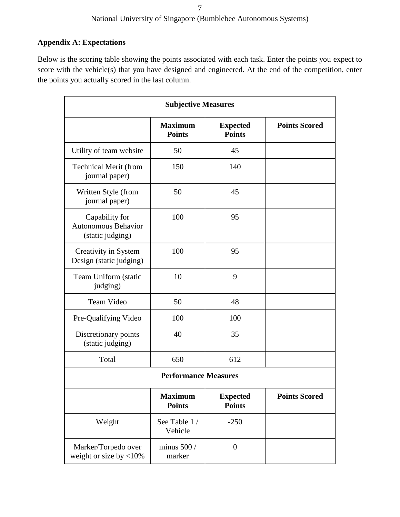### **Appendix A: Expectations**

Below is the scoring table showing the points associated with each task. Enter the points you expect to score with the vehicle(s) that you have designed and engineered. At the end of the competition, enter the points you actually scored in the last column.

| <b>Subjective Measures</b>                                       |                                 |                                  |                      |  |  |
|------------------------------------------------------------------|---------------------------------|----------------------------------|----------------------|--|--|
|                                                                  | <b>Maximum</b><br><b>Points</b> | <b>Expected</b><br><b>Points</b> | <b>Points Scored</b> |  |  |
| Utility of team website                                          | 50                              | 45                               |                      |  |  |
| <b>Technical Merit (from</b><br>journal paper)                   | 150                             | 140                              |                      |  |  |
| Written Style (from<br>journal paper)                            | 50                              | 45                               |                      |  |  |
| Capability for<br><b>Autonomous Behavior</b><br>(static judging) | 100                             | 95                               |                      |  |  |
| Creativity in System<br>Design (static judging)                  | 100                             | 95                               |                      |  |  |
| Team Uniform (static<br>judging)                                 | 10                              | 9                                |                      |  |  |
| <b>Team Video</b>                                                | 50                              | 48                               |                      |  |  |
| Pre-Qualifying Video                                             | 100                             | 100                              |                      |  |  |
| Discretionary points<br>(static judging)                         | 40                              | 35                               |                      |  |  |
| Total                                                            | 650                             | 612                              |                      |  |  |
|                                                                  | <b>Performance Measures</b>     |                                  |                      |  |  |
|                                                                  | <b>Maximum</b><br><b>Points</b> | <b>Expected</b><br><b>Points</b> | <b>Points Scored</b> |  |  |
| Weight                                                           | See Table 1 /<br>Vehicle        | $-250$                           |                      |  |  |
| Marker/Torpedo over<br>weight or size by $<$ 10%                 | minus $500/$<br>marker          | $\boldsymbol{0}$                 |                      |  |  |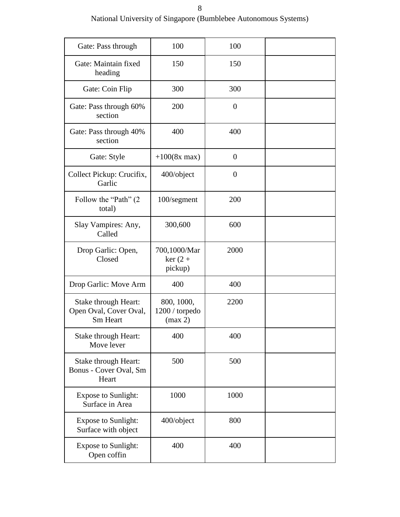| Gate: Pass through                                         | 100                                     | 100            |  |
|------------------------------------------------------------|-----------------------------------------|----------------|--|
| Gate: Maintain fixed<br>heading                            | 150                                     | 150            |  |
| Gate: Coin Flip                                            | 300                                     | 300            |  |
| Gate: Pass through 60%<br>section                          | 200                                     | $\overline{0}$ |  |
| Gate: Pass through 40%<br>section                          | 400                                     | 400            |  |
| Gate: Style                                                | $+100(8x \text{ max})$                  | $\overline{0}$ |  |
| Collect Pickup: Crucifix,<br>Garlic                        | 400/object                              | $\overline{0}$ |  |
| Follow the "Path" (2<br>total)                             | 100/segment                             | 200            |  |
| Slay Vampires: Any,<br>Called                              | 300,600                                 | 600            |  |
| Drop Garlic: Open,<br>Closed                               | 700,1000/Mar<br>$ker(2 +$<br>pickup)    | 2000           |  |
| Drop Garlic: Move Arm                                      | 400                                     | 400            |  |
| Stake through Heart:<br>Open Oval, Cover Oval,<br>Sm Heart | 800, 1000,<br>1200 / torpedo<br>(max 2) | 2200           |  |
| Stake through Heart:<br>Move lever                         | 400                                     | 400            |  |
| Stake through Heart:<br>Bonus - Cover Oval, Sm<br>Heart    | 500                                     | 500            |  |
| <b>Expose to Sunlight:</b><br>Surface in Area              | 1000                                    | 1000           |  |
| <b>Expose to Sunlight:</b><br>Surface with object          | 400/object                              | 800            |  |
| <b>Expose to Sunlight:</b><br>Open coffin                  | 400                                     | 400            |  |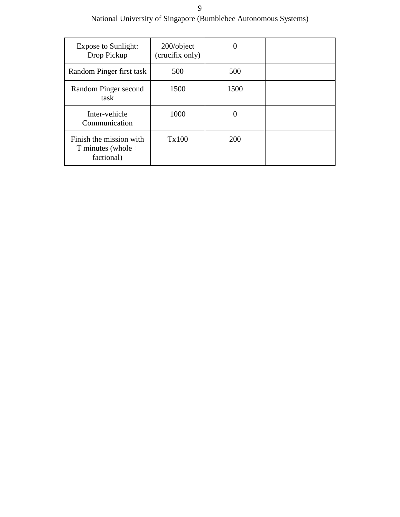#### 9

National University of Singapore (Bumblebee Autonomous Systems)

| <b>Expose to Sunlight:</b><br>Drop Pickup                     | $200$ /object<br>(crucifix only) |      |  |
|---------------------------------------------------------------|----------------------------------|------|--|
| Random Pinger first task                                      | 500                              | 500  |  |
| Random Pinger second<br>task                                  | 1500                             | 1500 |  |
| Inter-vehicle<br>Communication                                | 1000                             | 0    |  |
| Finish the mission with<br>T minutes (whole $+$<br>factional) | Tx100                            | 200  |  |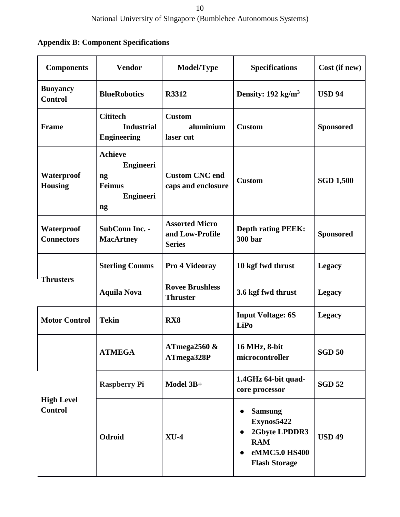### **Appendix B: Component Specifications**

| <b>Components</b>                   | <b>Vendor</b>                                                                       | Model/Type                                                | <b>Specifications</b>                                                                                                          | Cost (if new)    |
|-------------------------------------|-------------------------------------------------------------------------------------|-----------------------------------------------------------|--------------------------------------------------------------------------------------------------------------------------------|------------------|
| <b>Buoyancy</b><br><b>Control</b>   | <b>BlueRobotics</b>                                                                 | R3312                                                     | Density: $192 \text{ kg/m}^3$                                                                                                  | <b>USD 94</b>    |
| <b>Frame</b>                        | <b>Cititech</b><br><b>Industrial</b><br><b>Engineering</b>                          | <b>Custom</b><br>aluminium<br>laser cut                   | <b>Custom</b>                                                                                                                  | <b>Sponsored</b> |
| Waterproof<br><b>Housing</b>        | <b>Achieve</b><br><b>Engineeri</b><br>ng<br><b>Feimus</b><br><b>Engineeri</b><br>ng | <b>Custom CNC</b> end<br>caps and enclosure               | <b>Custom</b>                                                                                                                  | <b>SGD 1,500</b> |
| Waterproof<br><b>Connectors</b>     | SubConn Inc. -<br><b>MacArtney</b>                                                  | <b>Assorted Micro</b><br>and Low-Profile<br><b>Series</b> | <b>Depth rating PEEK:</b><br><b>300 bar</b>                                                                                    | <b>Sponsored</b> |
|                                     | <b>Sterling Comms</b>                                                               | Pro 4 Videoray                                            | 10 kgf fwd thrust                                                                                                              | <b>Legacy</b>    |
| <b>Thrusters</b>                    | <b>Aquila Nova</b>                                                                  | <b>Rovee Brushless</b><br><b>Thruster</b>                 | 3.6 kgf fwd thrust                                                                                                             | <b>Legacy</b>    |
| <b>Motor Control</b>                | <b>Tekin</b>                                                                        | RX <sub>8</sub>                                           | <b>Input Voltage: 6S</b><br><b>LiPo</b>                                                                                        | <b>Legacy</b>    |
|                                     | <b>ATMEGA</b>                                                                       | ATmega2560 $\&$<br>ATmega328P                             | 16 MHz, 8-bit<br>microcontroller                                                                                               | <b>SGD 50</b>    |
| <b>High Level</b><br><b>Control</b> | <b>Raspberry Pi</b>                                                                 | Model 3B+                                                 | 1.4GHz 64-bit quad-<br>core processor                                                                                          | <b>SGD 52</b>    |
|                                     | Odroid                                                                              | $XU-4$                                                    | <b>Samsung</b><br>Exynos5422<br>2Gbyte LPDDR3<br>$\bullet$<br><b>RAM</b><br>eMMC5.0 HS400<br>$\bullet$<br><b>Flash Storage</b> | <b>USD 49</b>    |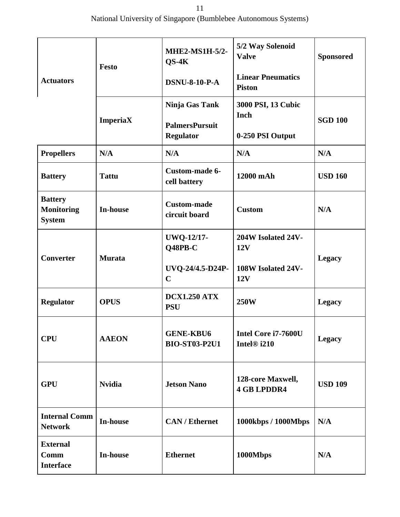|                                                      | <b>Festo</b>    | MHE2-MS1H-5/2-<br>$OS-4K$                | 5/2 Way Solenoid<br><b>Valve</b>               | <b>Sponsored</b> |  |
|------------------------------------------------------|-----------------|------------------------------------------|------------------------------------------------|------------------|--|
| <b>Actuators</b>                                     |                 | <b>DSNU-8-10-P-A</b>                     | <b>Linear Pneumatics</b><br><b>Piston</b>      |                  |  |
|                                                      | <b>ImperiaX</b> | Ninja Gas Tank<br><b>PalmersPursuit</b>  | 3000 PSI, 13 Cubic<br>Inch                     | <b>SGD 100</b>   |  |
|                                                      |                 | <b>Regulator</b>                         | 0-250 PSI Output                               |                  |  |
| <b>Propellers</b>                                    | N/A             | N/A                                      | N/A                                            | N/A              |  |
| <b>Battery</b>                                       | <b>Tattu</b>    | Custom-made 6-<br>cell battery           | 12000 mAh                                      | <b>USD 160</b>   |  |
| <b>Battery</b><br><b>Monitoring</b><br><b>System</b> | <b>In-house</b> | <b>Custom-made</b><br>circuit board      | <b>Custom</b>                                  | N/A              |  |
| <b>Converter</b>                                     | <b>Murata</b>   | <b>UWQ-12/17-</b><br>Q48PB-C             | 204W Isolated 24V-<br>12V                      | <b>Legacy</b>    |  |
|                                                      |                 | UVQ-24/4.5-D24P-<br>$\mathbf C$          | 108W Isolated 24V-<br>12V                      |                  |  |
| <b>Regulator</b>                                     | <b>OPUS</b>     | <b>DCX1.250 ATX</b><br><b>PSU</b>        | <b>250W</b>                                    | <b>Legacy</b>    |  |
| <b>CPU</b>                                           | <b>AAEON</b>    | <b>GENE-KBU6</b><br><b>BIO-ST03-P2U1</b> | Intel Core i7-7600U<br>Intel <sup>®</sup> i210 | <b>Legacy</b>    |  |
| <b>GPU</b>                                           | <b>Nvidia</b>   | <b>Jetson Nano</b>                       | 128-core Maxwell,<br><b>4 GB LPDDR4</b>        | <b>USD 109</b>   |  |
| <b>Internal Comm</b><br><b>Network</b>               | In-house        | <b>CAN/Ethernet</b>                      | 1000kbps / 1000Mbps                            | N/A              |  |
| <b>External</b><br>Comm<br><b>Interface</b>          | <b>In-house</b> | <b>Ethernet</b>                          | 1000Mbps                                       | N/A              |  |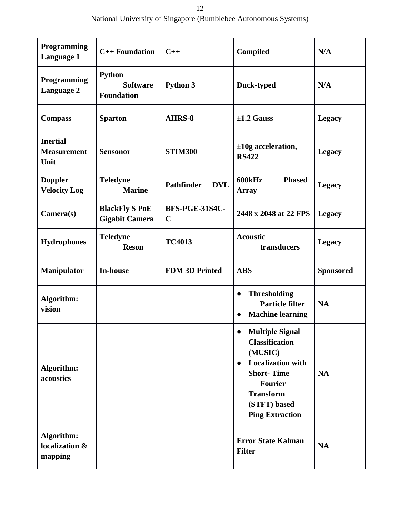National University of Singapore (Bumblebee Autonomous Systems)

| Programming<br>Language 1                     | $C++$ Foundation                                      | $C++$                                | Compiled                                                                                                                                                                                                              | N/A              |
|-----------------------------------------------|-------------------------------------------------------|--------------------------------------|-----------------------------------------------------------------------------------------------------------------------------------------------------------------------------------------------------------------------|------------------|
| Programming<br>Language 2                     | <b>Python</b><br><b>Software</b><br><b>Foundation</b> | Python 3                             | Duck-typed                                                                                                                                                                                                            | N/A              |
| <b>Compass</b>                                | <b>Sparton</b>                                        | AHRS-8                               | $\pm 1.2$ Gauss                                                                                                                                                                                                       | <b>Legacy</b>    |
| <b>Inertial</b><br><b>Measurement</b><br>Unit | <b>Sensonor</b>                                       | <b>STIM300</b>                       | $±10g$ acceleration,<br><b>RS422</b>                                                                                                                                                                                  | <b>Legacy</b>    |
| <b>Doppler</b><br><b>Velocity Log</b>         | <b>Teledyne</b><br><b>Marine</b>                      | <b>Pathfinder</b><br><b>DVL</b>      | <b>600kHz</b><br><b>Phased</b><br><b>Array</b>                                                                                                                                                                        | <b>Legacy</b>    |
| Camera(s)                                     | <b>BlackFly S PoE</b><br><b>Gigabit Camera</b>        | <b>BFS-PGE-31S4C-</b><br>$\mathbf C$ | 2448 x 2048 at 22 FPS                                                                                                                                                                                                 | <b>Legacy</b>    |
| <b>Hydrophones</b>                            | <b>Teledyne</b><br><b>Reson</b>                       | <b>TC4013</b>                        | <b>Acoustic</b><br>transducers                                                                                                                                                                                        | <b>Legacy</b>    |
| <b>Manipulator</b>                            | <b>In-house</b>                                       | <b>FDM 3D Printed</b>                | <b>ABS</b>                                                                                                                                                                                                            | <b>Sponsored</b> |
| Algorithm:<br>vision                          |                                                       |                                      | <b>Thresholding</b><br>$\bullet$<br><b>Particle filter</b><br><b>Machine learning</b><br>$\bullet$                                                                                                                    | <b>NA</b>        |
| Algorithm:<br>acoustics                       |                                                       |                                      | <b>Multiple Signal</b><br>$\bullet$<br><b>Classification</b><br>(MUSIC)<br><b>Localization with</b><br>$\bullet$<br><b>Short-Time</b><br><b>Fourier</b><br><b>Transform</b><br>(STFT) based<br><b>Ping Extraction</b> | <b>NA</b>        |
| Algorithm:<br>localization &<br>mapping       |                                                       |                                      | <b>Error State Kalman</b><br><b>Filter</b>                                                                                                                                                                            | <b>NA</b>        |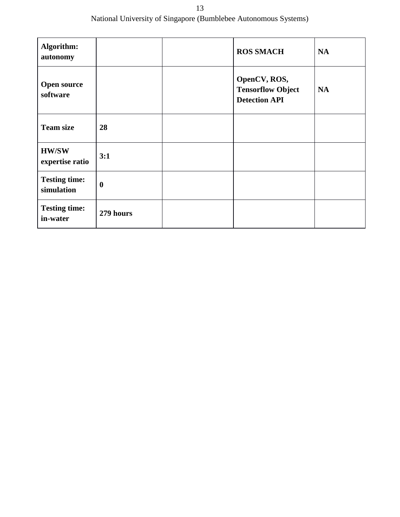13 National University of Singapore (Bumblebee Autonomous Systems)

| Algorithm:<br>autonomy             |                  | <b>ROS SMACH</b>                                                 | <b>NA</b> |
|------------------------------------|------------------|------------------------------------------------------------------|-----------|
| <b>Open source</b><br>software     |                  | OpenCV, ROS,<br><b>Tensorflow Object</b><br><b>Detection API</b> | <b>NA</b> |
| <b>Team size</b>                   | 28               |                                                                  |           |
| <b>HW/SW</b><br>expertise ratio    | 3:1              |                                                                  |           |
| <b>Testing time:</b><br>simulation | $\boldsymbol{0}$ |                                                                  |           |
| <b>Testing time:</b><br>in-water   | 279 hours        |                                                                  |           |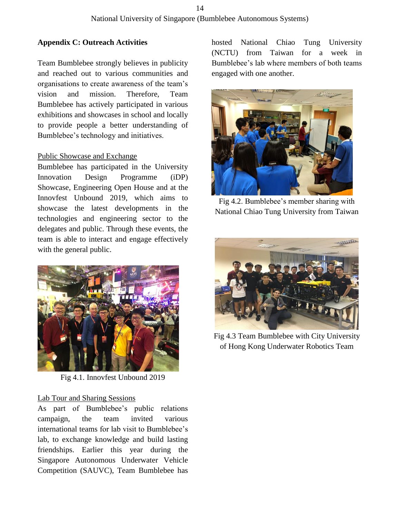#### **Appendix C: Outreach Activities**

Team Bumblebee strongly believes in publicity and reached out to various communities and organisations to create awareness of the team's vision and mission. Therefore, Team Bumblebee has actively participated in various exhibitions and showcases in school and locally to provide people a better understanding of Bumblebee's technology and initiatives.

#### Public Showcase and Exchange

Bumblebee has participated in the University Innovation Design Programme (iDP) Showcase, Engineering Open House and at the Innovfest Unbound 2019, which aims to showcase the latest developments in the technologies and engineering sector to the delegates and public. Through these events, the team is able to interact and engage effectively with the general public.



Fig 4.1. Innovfest Unbound 2019

#### Lab Tour and Sharing Sessions

As part of Bumblebee's public relations campaign, the team invited various international teams for lab visit to Bumblebee's lab, to exchange knowledge and build lasting friendships. Earlier this year during the Singapore Autonomous Underwater Vehicle Competition (SAUVC), Team Bumblebee has

hosted National Chiao Tung University (NCTU) from Taiwan for a week in Bumblebee's lab where members of both teams engaged with one another.



Fig 4.2. Bumblebee's member sharing with National Chiao Tung University from Taiwan



Fig 4.3 Team Bumblebee with City University of Hong Kong Underwater Robotics Team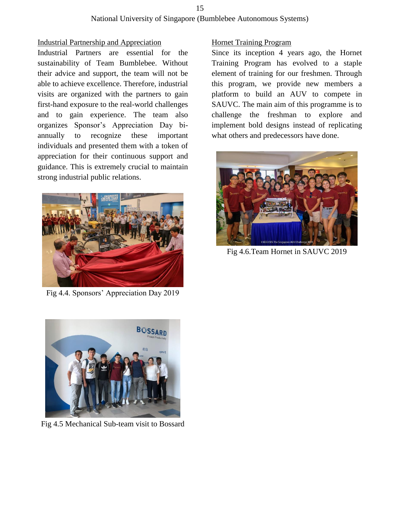#### 15

#### National University of Singapore (Bumblebee Autonomous Systems)

#### Industrial Partnership and Appreciation

Industrial Partners are essential for the sustainability of Team Bumblebee. Without their advice and support, the team will not be able to achieve excellence. Therefore, industrial visits are organized with the partners to gain first-hand exposure to the real-world challenges and to gain experience. The team also organizes Sponsor's Appreciation Day biannually to recognize these important individuals and presented them with a token of appreciation for their continuous support and guidance. This is extremely crucial to maintain strong industrial public relations.



Fig 4.4. Sponsors' Appreciation Day 2019



Fig 4.5 Mechanical Sub-team visit to Bossard

#### Hornet Training Program

Since its inception 4 years ago, the Hornet Training Program has evolved to a staple element of training for our freshmen. Through this program, we provide new members a platform to build an AUV to compete in SAUVC. The main aim of this programme is to challenge the freshman to explore and implement bold designs instead of replicating what others and predecessors have done.



Fig 4.6.Team Hornet in SAUVC 2019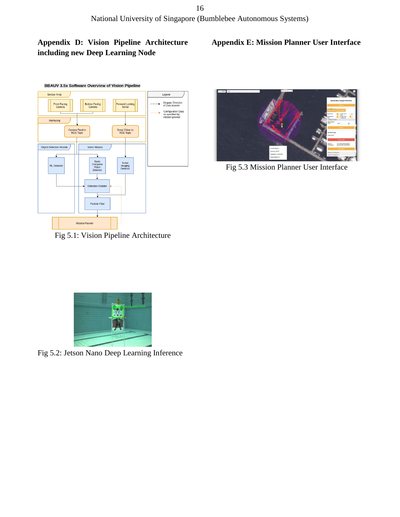### **Appendix D: Vision Pipeline Architecture including new Deep Learning Node**

#### **Appendix E: Mission Planner User Interface**





Fig 5.3 Mission Planner User Interface

Fig 5.1: Vision Pipeline Architecture



Fig 5.2: Jetson Nano Deep Learning Inference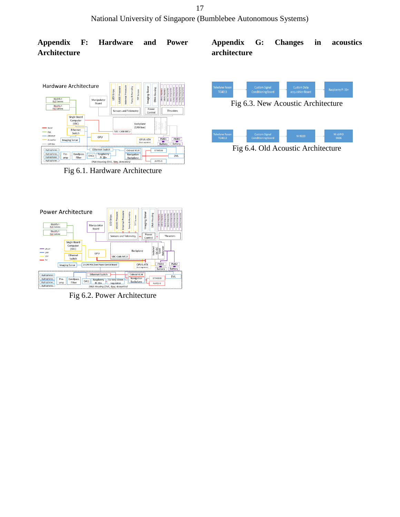#### **Appendix F: Hardware and Power Architecture**

#### Hardware Architecture LED<sub>S</sub> S300 BlackFly<br>PoE Cam Manipulator<br>Board  $\tilde{\epsilon}$ BlackFly S Power<br>Control Sensors and Telemetry .<br>Thr Single Board<br>Computer<br>(SBC) Backpla васкрыне<br>(CAN bus) Ethernet<br>Switch BC-CAN MCU GPU PMB1<br>Battery OPUS-ATX Imaging Sonar PMB<sub>2</sub> Ethernet Switch Odroid XU4 **STIM300** Pre-<br>amp Bandpass DAQ Raspberry Navigation<br>Backplane AHRS-8 **DNA Housing (DVL)**

Fig 6.1. Hardware Architecture

### **Appendix G: Changes in acoustics architecture**



Fig 6.4. Old Acoustic Architecture



Fig 6.2. Power Architecture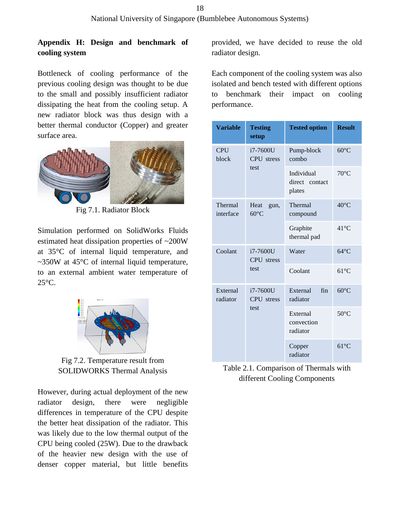**Appendix H: Design and benchmark of cooling system**

Bottleneck of cooling performance of the previous cooling design was thought to be due to the small and possibly insufficient radiator dissipating the heat from the cooling setup. A new radiator block was thus design with a better thermal conductor (Copper) and greater surface area.



Fig 7.1. Radiator Block

Simulation performed on SolidWorks Fluids estimated heat dissipation properties of ~200W at 35°C of internal liquid temperature, and ~350W at 45°C of internal liquid temperature, to an external ambient water temperature of  $25^{\circ}$ C.



Fig 7.2. Temperature result from SOLIDWORKS Thermal Analysis

However, during actual deployment of the new radiator design, there were negligible differences in temperature of the CPU despite the better heat dissipation of the radiator. This was likely due to the low thermal output of the CPU being cooled (25W). Due to the drawback of the heavier new design with the use of denser copper material, but little benefits

provided, we have decided to reuse the old radiator design.

Each component of the cooling system was also isolated and bench tested with different options to benchmark their impact on cooling performance.

| <b>Variable</b>      | <b>Testing</b><br>setup         | <b>Tested option</b>                   | <b>Result</b>  |
|----------------------|---------------------------------|----------------------------------------|----------------|
| <b>CPU</b><br>block  | i7-7600U<br>CPU stress          | Pump-block<br>combo                    | $60^{\circ}$ C |
|                      | test                            | Individual<br>direct contact<br>plates | $70^{\circ}$ C |
| Thermal<br>interface | Heat<br>gun,<br>$60^{\circ}$ C  | Thermal<br>compound                    | $40^{\circ}$ C |
|                      |                                 | Graphite<br>thermal pad                | $41^{\circ}$ C |
| Coolant              | $i7-7600U$<br><b>CPU</b> stress | Water                                  | $64^{\circ}$ C |
|                      | test                            | Coolant                                | $61^{\circ}$ C |
| External<br>radiator | i7-7600U<br>CPU stress          | fin<br>External<br>radiator            | $60^{\circ}$ C |
|                      | test                            | External<br>convection<br>radiator     | $50^{\circ}$ C |
|                      |                                 | Copper<br>radiator                     | $61^{\circ}$ C |

Table 2.1. Comparison of Thermals with different Cooling Components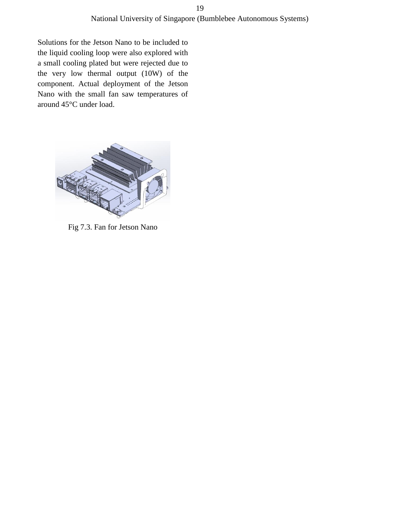Solutions for the Jetson Nano to be included to the liquid cooling loop were also explored with a small cooling plated but were rejected due to the very low thermal output (10W) of the component. Actual deployment of the Jetson Nano with the small fan saw temperatures of around 45°C under load.



Fig 7.3. Fan for Jetson Nano